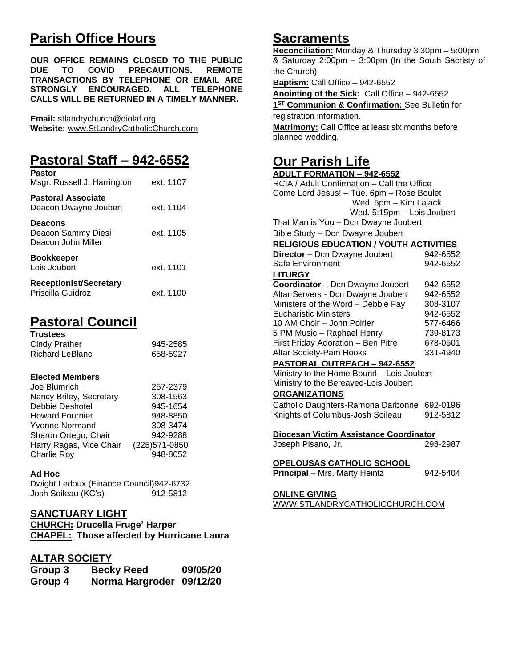# **Parish Office Hours**

**OUR OFFICE REMAINS CLOSED TO THE PUBLIC DUE TO COVID PRECAUTIONS. REMOTE TRANSACTIONS BY TELEPHONE OR EMAIL ARE STRONGLY ENCOURAGED. ALL TELEPHONE CALLS WILL BE RETURNED IN A TIMELY MANNER.**

**Email:** stlandrychurch@diolaf.org **Website:** [www.StLandryCatholicChurch.com](http://www.stlandrycatholicchurch.com/)

# **Pastoral Staff – 942-6552**

| <b>Pastor</b><br>Msgr. Russell J. Harrington               | ext. 1107 |
|------------------------------------------------------------|-----------|
| <b>Pastoral Associate</b><br>Deacon Dwayne Joubert         | ext. 1104 |
| <b>Deacons</b><br>Deacon Sammy Diesi<br>Deacon John Miller | ext. 1105 |
| <b>Bookkeeper</b><br>Lois Joubert                          | ext. 1101 |
| <b>Receptionist/Secretary</b><br>Priscilla Guidroz         | ext. 1100 |

# **Pastoral Council**

| <b>Trustees</b> |          |
|-----------------|----------|
| Cindy Prather   | 945-2585 |
| Richard LeBlanc | 658-5927 |

## **Elected Members**

| Joe Blumrich            | 257-2379       |
|-------------------------|----------------|
| Nancy Briley, Secretary | 308-1563       |
| Debbie Deshotel         | 945-1654       |
| <b>Howard Fournier</b>  | 948-8850       |
| <b>Yvonne Normand</b>   | 308-3474       |
| Sharon Ortego, Chair    | 942-9288       |
| Harry Ragas, Vice Chair | (225) 571-0850 |
| <b>Charlie Roy</b>      | 948-8052       |

## **Ad Hoc**

Dwight Ledoux (Finance Council)942-6732 Josh Soileau (KC's) 912-5812

# **SANCTUARY LIGHT**

**CHURCH: Drucella Fruge' Harper CHAPEL: Those affected by Hurricane Laura**

# **ALTAR SOCIETY**

| Group 3 | <b>Becky Reed</b>        | 09/05/20 |
|---------|--------------------------|----------|
| Group 4 | Norma Hargroder 09/12/20 |          |

# **Sacraments**

**Reconciliation:** Monday & Thursday 3:30pm – 5:00pm & Saturday 2:00pm – 3:00pm (In the South Sacristy of the Church)

**Baptism:** Call Office – 942-6552

**Anointing of the Sick:** Call Office – 942-6552 **1 ST Communion & Confirmation:** See Bulletin for registration information. **Matrimony:** Call Office at least six months before planned wedding.

# **Our Parish Life ADULT FORMATION – 942-6552**

RCIA / Adult Confirmation – Call the Office Come Lord Jesus! – Tue. 6pm – Rose Boulet Wed. 5pm – Kim Lajack Wed. 5:15pm – Lois Joubert That Man is You – Dcn Dwayne Joubert

Bible Study – Dcn Dwayne Joubert

#### **RELIGIOUS EDUCATION / YOUTH ACTIVITIES**

| 942-6552                                  |  |
|-------------------------------------------|--|
| 942-6552                                  |  |
|                                           |  |
| 942-6552                                  |  |
| 942-6552                                  |  |
| 308-3107                                  |  |
| 942-6552                                  |  |
| 577-6466                                  |  |
| 739-8173                                  |  |
| 678-0501                                  |  |
| 331-4940                                  |  |
|                                           |  |
| Ministry to the Home Bound - Lois Joubert |  |
| Ministry to the Bereaved-Lois Joubert     |  |
|                                           |  |
|                                           |  |

Catholic Daughters-Ramona Darbonne 692-0196 Knights of Columbus-Josh Soileau 912-5812

**Diocesan Victim Assistance Coordinator**

Joseph Pisano, Jr. 298-2987

# **OPELOUSAS CATHOLIC SCHOOL**

**Principal** – Mrs. Marty Heintz 942-5404

## **ONLINE GIVING**

WWW.STLANDRYCATHOLICCHURCH.COM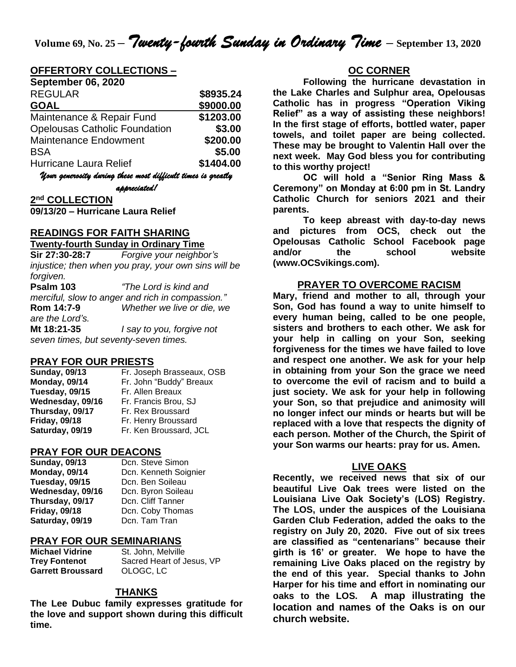#### **OFFERTORY COLLECTIONS –**

| <b>September 06, 2020</b>                                    |           |  |
|--------------------------------------------------------------|-----------|--|
| <b>REGULAR</b>                                               | \$8935.24 |  |
| <b>GOAL</b>                                                  | \$9000.00 |  |
| Maintenance & Repair Fund                                    | \$1203.00 |  |
| <b>Opelousas Catholic Foundation</b>                         | \$3.00    |  |
| <b>Maintenance Endowment</b>                                 | \$200.00  |  |
| <b>BSA</b>                                                   | \$5.00    |  |
| Hurricane Laura Relief                                       | \$1404.00 |  |
| Uour generosity during these most difficult times is greatly |           |  |

*appreciated!* 

**2 nd COLLECTION**

**09/13/20 – Hurricane Laura Relief**

#### **READINGS FOR FAITH SHARING**

#### **Twenty-fourth Sunday in Ordinary Time**

**Sir 27:30-28:7** *Forgive your neighbor's injustice; then when you pray, your own sins will be forgiven.*

**Psalm 103** *"The Lord is kind and merciful, slow to anger and rich in compassion."* **Rom 14:7-9** *Whether we live or die, we are the Lord's.* **Mt 18:21-35** *I say to you, forgive not seven times, but seventy-seven times.*

#### **PRAY FOR OUR PRIESTS**

| <b>Sunday, 09/13</b> | Fr. Joseph Brasseaux, OSB |
|----------------------|---------------------------|
| <b>Monday, 09/14</b> | Fr. John "Buddy" Breaux   |
| Tuesday, 09/15       | Fr. Allen Breaux          |
| Wednesday, 09/16     | Fr. Francis Brou, SJ      |
| Thursday, 09/17      | Fr. Rex Broussard         |
| <b>Friday, 09/18</b> | Fr. Henry Broussard       |
| Saturday, 09/19      | Fr. Ken Broussard, JCL    |

#### **PRAY FOR OUR DEACONS**

Tuesday, 09/15 Dcn. Ben Soileau **Thursday, 09/17** Dcn. Cliff Tanner **Saturday, 09/19** Dcn. Tam Tran

**Sunday, 09/13** Dcn. Steve Simon **Monday, 09/14** Dcn. Kenneth Soignier **Wednesday, 09/16** Dcn. Byron Soileau **Friday, 09/18** Dcn. Coby Thomas

#### **PRAY FOR OUR SEMINARIANS**

**Michael Vidrine** St. John, Melville **Garrett Broussard** OLOGC, LC

**Trey Fontenot** Sacred Heart of Jesus, VP

#### **THANKS**

**The Lee Dubuc family expresses gratitude for the love and support shown during this difficult time.**

#### **OC CORNER**

**Following the hurricane devastation in the Lake Charles and Sulphur area, Opelousas Catholic has in progress "Operation Viking Relief" as a way of assisting these neighbors! In the first stage of efforts, bottled water, paper towels, and toilet paper are being collected. These may be brought to Valentin Hall over the next week. May God bless you for contributing to this worthy project!**

**OC will hold a "Senior Ring Mass & Ceremony" on Monday at 6:00 pm in St. Landry Catholic Church for seniors 2021 and their parents.**

**To keep abreast with day-to-day news and pictures from OCS, check out the Opelousas Catholic School Facebook page and/or the school website (www.OCSvikings.com).**

#### **PRAYER TO OVERCOME RACISM**

**Mary, friend and mother to all, through your Son, God has found a way to unite himself to every human being, called to be one people, sisters and brothers to each other. We ask for your help in calling on your Son, seeking forgiveness for the times we have failed to love and respect one another. We ask for your help in obtaining from your Son the grace we need to overcome the evil of racism and to build a just society. We ask for your help in following your Son, so that prejudice and animosity will no longer infect our minds or hearts but will be replaced with a love that respects the dignity of each person. Mother of the Church, the Spirit of your Son warms our hearts: pray for us. Amen.**

#### **LIVE OAKS**

**Recently, we received news that six of our beautiful Live Oak trees were listed on the Louisiana Live Oak Society's (LOS) Registry. The LOS, under the auspices of the Louisiana Garden Club Federation, added the oaks to the registry on July 20, 2020. Five out of six trees are classified as "centenarians" because their girth is 16' or greater. We hope to have the remaining Live Oaks placed on the registry by the end of this year. Special thanks to John Harper for his time and effort in nominating our oaks to the LOS. A map illustrating the location and names of the Oaks is on our church website.**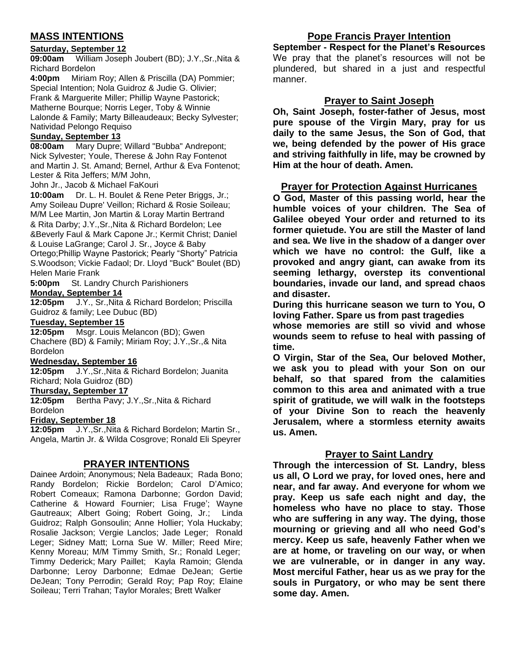# **MASS INTENTIONS**

#### **Saturday, September 12**

**09:00am** William Joseph Joubert (BD); J.Y.,Sr.,Nita & Richard Bordelon

**4:00pm** Miriam Roy; Allen & Priscilla (DA) Pommier; Special Intention; Nola Guidroz & Judie G. Olivier; Frank & Marguerite Miller; Phillip Wayne Pastorick; Matherne Bourque; Norris Leger, Toby & Winnie Lalonde & Family; Marty Billeaudeaux; Becky Sylvester; Natividad Pelongo Requiso

#### **Sunday, September 13**

**08:00am** Mary Dupre; Willard "Bubba" Andrepont; Nick Sylvester; Youle, Therese & John Ray Fontenot and Martin J. St. Amand; Bernel, Arthur & Eva Fontenot; Lester & Rita Jeffers; M/M John,

John Jr., Jacob & Michael FaKouri

**10:00am** Dr. L. H. Boulet & Rene Peter Briggs, Jr.; Amy Soileau Dupre' Veillon; Richard & Rosie Soileau; M/M Lee Martin, Jon Martin & Loray Martin Bertrand & Rita Darby; J.Y.,Sr.,Nita & Richard Bordelon; Lee &Beverly Faul & Mark Capone Jr.; Kermit Christ; Daniel & Louise LaGrange; Carol J. Sr., Joyce & Baby Ortego;Phillip Wayne Pastorick; Pearly "Shorty" Patricia S.Woodson; Vickie Fadaol; Dr. Lloyd "Buck" Boulet (BD) Helen Marie Frank

**5:00pm** St. Landry Church Parishioners **Monday, September 14**

**12:05pm** J.Y., Sr.,Nita & Richard Bordelon; Priscilla Guidroz & family; Lee Dubuc (BD)

#### **Tuesday, September 15**

**12:05pm** Msgr. Louis Melancon (BD); Gwen Chachere (BD) & Family; Miriam Roy; J.Y.,Sr.,& Nita Bordelon

#### **Wednesday, September 16**

**12:05pm** J.Y.,Sr.,Nita & Richard Bordelon; Juanita Richard; Nola Guidroz (BD)

#### **Thursday, September 17**

**12:05pm** Bertha Pavy; J.Y.,Sr.,Nita & Richard Bordelon

#### **Friday, September 18**

**12:05pm** J.Y.,Sr.,Nita & Richard Bordelon; Martin Sr., Angela, Martin Jr. & Wilda Cosgrove; Ronald Eli Speyrer

#### **PRAYER INTENTIONS**

Dainee Ardoin; Anonymous; Nela Badeaux; Rada Bono; Randy Bordelon; Rickie Bordelon; Carol D'Amico; Robert Comeaux; Ramona Darbonne; Gordon David; Catherine & Howard Fournier; Lisa Fruge'; Wayne Gautreaux; Albert Going; Robert Going, Jr.; Linda Guidroz; Ralph Gonsoulin; Anne Hollier; Yola Huckaby; Rosalie Jackson; Vergie Lanclos; Jade Leger; Ronald Leger; Sidney Matt; Lorna Sue W. Miller; Reed Mire; Kenny Moreau; M/M Timmy Smith, Sr.; Ronald Leger; Timmy Dederick; Mary Paillet; Kayla Ramoin; Glenda Darbonne; Leroy Darbonne; Edmae DeJean; Gertie DeJean; Tony Perrodin; Gerald Roy; Pap Roy; Elaine Soileau; Terri Trahan; Taylor Morales; Brett Walker

## **Pope Francis Prayer Intention**

**September - Respect for the Planet's Resources** We pray that the planet's resources will not be plundered, but shared in a just and respectful manner.

#### **Prayer to Saint Joseph**

**Oh, Saint Joseph, foster-father of Jesus, most pure spouse of the Virgin Mary, pray for us daily to the same Jesus, the Son of God, that we, being defended by the power of His grace and striving faithfully in life, may be crowned by Him at the hour of death. Amen.**

#### **Prayer for Protection Against Hurricanes**

**O God, Master of this passing world, hear the humble voices of your children. The Sea of Galilee obeyed Your order and returned to its former quietude. You are still the Master of land and sea. We live in the shadow of a danger over which we have no control: the Gulf, like a provoked and angry giant, can awake from its seeming lethargy, overstep its conventional boundaries, invade our land, and spread chaos and disaster.**

**During this hurricane season we turn to You, O loving Father. Spare us from past tragedies** 

**whose memories are still so vivid and whose wounds seem to refuse to heal with passing of time.**

**O Virgin, Star of the Sea, Our beloved Mother, we ask you to plead with your Son on our behalf, so that spared from the calamities common to this area and animated with a true spirit of gratitude, we will walk in the footsteps of your Divine Son to reach the heavenly Jerusalem, where a stormless eternity awaits us. Amen.** 

#### **Prayer to Saint Landry**

**Through the intercession of St. Landry, bless us all, O Lord we pray, for loved ones, here and near, and far away. And everyone for whom we pray. Keep us safe each night and day, the homeless who have no place to stay. Those who are suffering in any way. The dying, those mourning or grieving and all who need God's mercy. Keep us safe, heavenly Father when we are at home, or traveling on our way, or when we are vulnerable, or in danger in any way. Most merciful Father, hear us as we pray for the souls in Purgatory, or who may be sent there some day. Amen.**